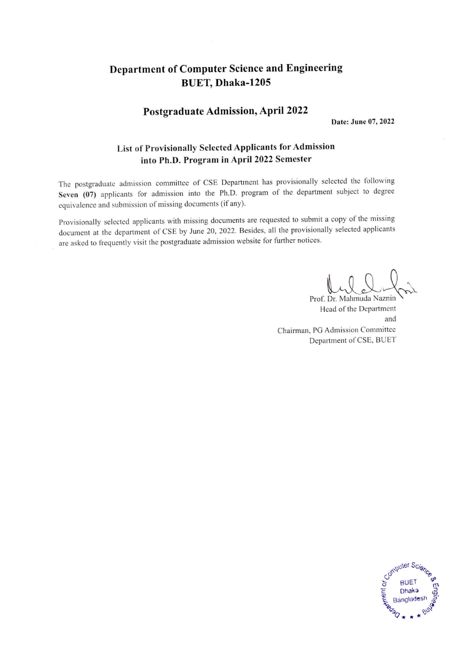### Department of Computer Science and Engineering BUET, Dhaka-1205

#### Postgraduate Admission, April 2022

Date: June 07, 2022

#### List of Provisionally Selected Applicants for Admission into Ph.D. Program in April 2022 Semester

The postgraduate admission committee of CSE Department has provisionally selected the following Seven (07) applicants for admission into the Ph.D. program of the department subject to degree equivalence and submission of missing documents (if any).

Provisionally selected applicants with missing documents are requested to submit a copy of the missing document at the department of CSE by June 20, 2022. Besides, all the provisionally selected applicants are asked to frequently visit the postgraduate admission website for further notices.

Prof. Dr. Mahmuda Naznin Head of the Department and Chairman, PG Admission Committee Department of CSE, BUET

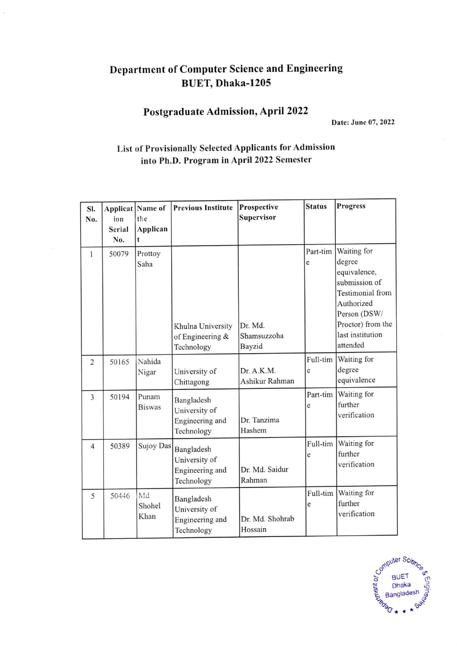# Department of Computer Science and Engineering BUET, Dhaka-1205

# Postgraduate Admission, April 2022

Date: June 07, 2022

### List of Provisionally Selected Applicants for Admission into Ph.D. Program in April 2022 Semester

| SI.<br>No.     | Applicat<br>ion<br><b>Serial</b><br>No. | Name of<br>the<br>Applican<br>t | <b>Previous Institute</b>                                    | Prospective<br><b>Supervisor</b> | <b>Status</b> | <b>Progress</b>                                                                                                                                                      |
|----------------|-----------------------------------------|---------------------------------|--------------------------------------------------------------|----------------------------------|---------------|----------------------------------------------------------------------------------------------------------------------------------------------------------------------|
| 1              | 50079                                   | Prottoy<br>Saha                 | Khulna University<br>of Engineering &<br>Technology          | Dr. Md.<br>Shamsuzzoha<br>Bayzid | Part-tim<br>e | Waiting for<br>degree<br>equivalence,<br>submission of<br><b>Testimonial</b> from<br>Authorized<br>Person (DSW/<br>Proctor) from the<br>last institution<br>attended |
| $\overline{2}$ | 50165                                   | Nahida<br>Nigar                 | University of<br>Chittagong                                  | Dr. A.K.M.<br>Ashikur Rahman     | Full-tim<br>e | Waiting for<br>degree<br>equivalence                                                                                                                                 |
| 3              | 50194                                   | Punam<br><b>Biswas</b>          | Bangladesh<br>University of<br>Engineering and<br>Technology | Dr. Tanzima<br>Hashem            | Part-tim<br>e | Waiting for<br>further<br>verification                                                                                                                               |
| $\overline{4}$ | 50389                                   | Sujoy Das                       | Bangladesh<br>University of<br>Engineering and<br>Technology | Dr. Md. Saidur<br>Rahman         | Full-tim<br>e | Waiting for<br>further<br>verification                                                                                                                               |
| 5              | 50446                                   | Md<br>Shohel<br>Khan            | Bangladesh<br>University of<br>Engineering and<br>Technology | Dr. Md. Shohrab<br>Hossain       | Full-tim<br>e | Waiting for<br>further<br>verification                                                                                                                               |